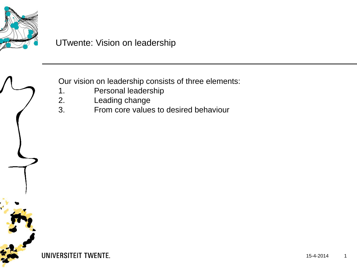

# UTwente: Vision on leadership

Our vision on leadership consists of three elements:

- 1. Personal leadership
- 2. Leading change<br>3. From core value
	- 3. From core values to desired behaviour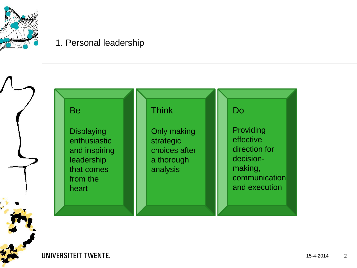

## 1. Personal leadership

Be

**Displaying** enthusiastic and inspiring leadership that comes from the heart

#### Think

Only making strategic choices after a thorough analysis

#### Do

Providing effective direction for decisionmaking, communication and execution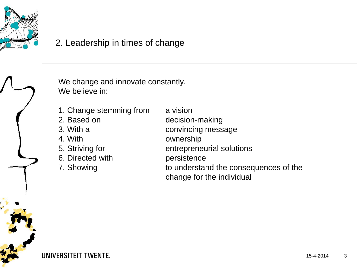

# 2. Leadership in times of change

We change and innovate constantly. We believe in:

- 1. Change stemming from a vision
- 
- 
- 
- 
- 6. Directed with persistence
- 
- 2. Based on decision-making 3. With a convincing message 4. With ownership 5. Striving for entrepreneurial solutions 7. Showing to understand the consequences of the change for the individual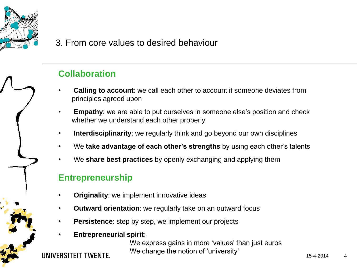

## 3. From core values to desired behaviour

## **Collaboration**

- **Calling to account**: we call each other to account if someone deviates from principles agreed upon
- **Empathy:** we are able to put ourselves in someone else's position and check whether we understand each other properly
- **Interdisciplinarity**: we regularly think and go beyond our own disciplines
- We **take advantage of each other's strengths** by using each other's talents
- We **share best practices** by openly exchanging and applying them

#### **Entrepreneurship**

- **Originality:** we implement innovative ideas
- **Outward orientation**: we regularly take on an outward focus
- **Persistence:** step by step, we implement our projects
- **Entrepreneurial spirit**:

We express gains in more 'values' than just euros We change the notion of 'university'

IINIVERSITEIT TWENTE